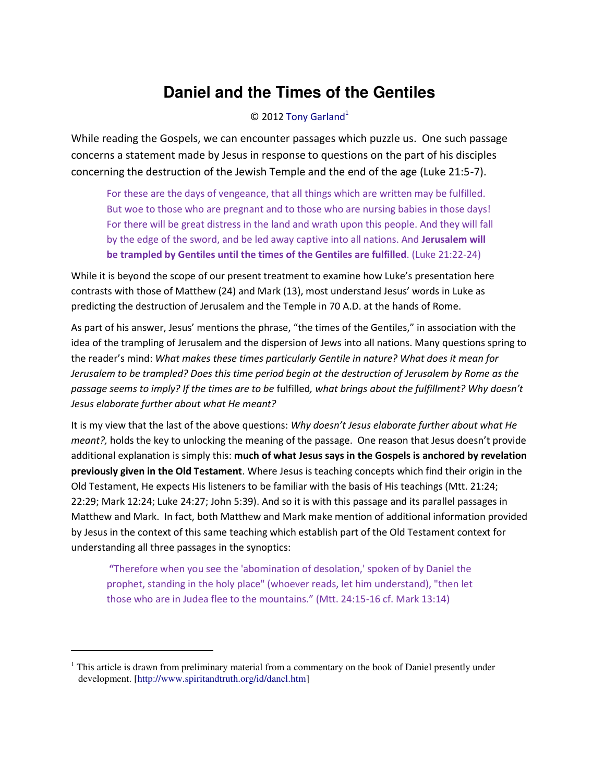# **Daniel and the Times of the Gentiles**

#### $©$  201[2 Tony Garland](http://www.spiritandtruth.org/id/tg.htm)<sup>1</sup>

While reading the Gospels, we can encounter passages which puzzle us. One such passage concerns a statement made by Jesus in response to questions on the part of his disciples concerning the destruction of the Jewish Temple and the end of the age (Luke 21:5-7).

For these are the days of vengeance, that all things which are written may be fulfilled. But woe to those who are pregnant and to those who are nursing babies in those days! For there will be great distress in the land and wrath upon this people. And they will fall by the edge of the sword, and be led away captive into all nations. And **Jerusalem will be trampled by Gentiles until the times of the Gentiles are fulfilled**. (Luke 21:22-24)

While it is beyond the scope of our present treatment to examine how Luke's presentation here contrasts with those of Matthew (24) and Mark (13), most understand Jesus' words in Luke as predicting the destruction of Jerusalem and the Temple in 70 A.D. at the hands of Rome.

As part of his answer, Jesus' mentions the phrase, "the times of the Gentiles," in association with the idea of the trampling of Jerusalem and the dispersion of Jews into all nations. Many questions spring to the reader's mind: What makes these times particularly Gentile in nature? What does it mean for *Jerusalem to be trampled? Does this time period begin at the destruction of Jerusalem by Rome as the passage seems to imply? If the times are to be* fulfilled*, what brings about the fulfillment? Why doesn't Jesus elaborate further about what He meant?* 

It is my view that the last of the above questions: *Why doesn't Jesus elaborate further about what He meant?*, holds the key to unlocking the meaning of the passage. One reason that Jesus doesn't provide additional explanation is simply this: **much of what Jesus says in the Gospels is anchored by revelation previously given in the Old Testament**. Where Jesus is teaching concepts which find their origin in the Old Testament, He expects His listeners to be familiar with the basis of His teachings (Mtt. 21:24; 22:29; Mark 12:24; Luke 24:27; John 5:39). And so it is with this passage and its parallel passages in Matthew and Mark. In fact, both Matthew and Mark make mention of additional information provided by Jesus in the context of this same teaching which establish part of the Old Testament context for understanding all three passages in the synoptics:

**"**Therefore when you see the 'abomination of desolation,' spoken of by Daniel the prophet, standing in the holy place" (whoever reads, let him understand), "then let those who are in Judea flee to the mountains.<sup>™</sup> (Mtt. 24:15-16 cf. Mark 13:14)

 $\overline{\phantom{0}}$ 

<sup>&</sup>lt;sup>1</sup> This article is drawn from preliminary material from a commentary on the book of Daniel presently under development. [\[http://www.spiritandtruth.org/id/dancl.htm\]](http://www.spiritandtruth.org/id/dancl.htm)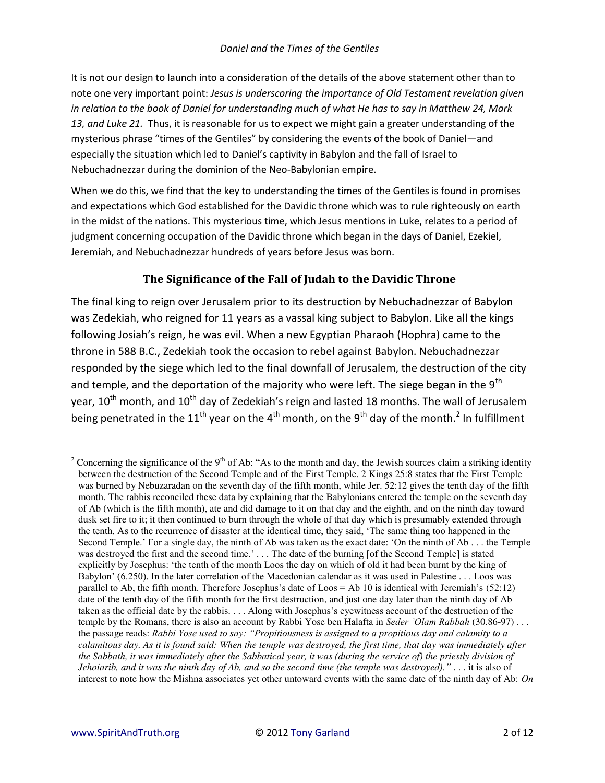It is not our design to launch into a consideration of the details of the above statement other than to note one very important point: *Jesus is underscoring the importance of Old Testament revelation given in relation to the book of Daniel for understanding much of what He has to say in Matthew 24, Mark 13, and Luke 21.* Thus, it is reasonable for us to expect we might gain a greater understanding of the mysterious phrase "times of the Gentiles" by considering the events of the book of Daniel—and especially the situation which led to Daniel's captivity in Babylon and the fall of Israel to Nebuchadnezzar during the dominion of the Neo-Babylonian empire.

When we do this, we find that the key to understanding the times of the Gentiles is found in promises and expectations which God established for the Davidic throne which was to rule righteously on earth in the midst of the nations. This mysterious time, which Jesus mentions in Luke, relates to a period of judgment concerning occupation of the Davidic throne which began in the days of Daniel, Ezekiel, Jeremiah, and Nebuchadnezzar hundreds of years before Jesus was born.

# **The Significance of the Fall of Judah to the Davidic Throne**

The final king to reign over Jerusalem prior to its destruction by Nebuchadnezzar of Babylon was Zedekiah, who reigned for 11 years as a vassal king subject to Babylon. Like all the kings following Josiah's reign, he was evil. When a new Egyptian Pharaoh (Hophra) came to the throne in 588 B.C., Zedekiah took the occasion to rebel against Babylon. Nebuchadnezzar responded by the siege which led to the final downfall of Jerusalem, the destruction of the city and temple, and the deportation of the majority who were left. The siege began in the  $9<sup>th</sup>$ year, 10<sup>th</sup> month, and 10<sup>th</sup> day of Zedekiah's reign and lasted 18 months. The wall of Jerusalem being penetrated in the 11<sup>th</sup> year on the 4<sup>th</sup> month, on the 9<sup>th</sup> day of the month.<sup>2</sup> In fulfillment

<sup>&</sup>lt;sup>2</sup> Concerning the significance of the 9<sup>th</sup> of Ab: "As to the month and day, the Jewish sources claim a striking identity between the destruction of the Second Temple and of the First Temple. 2 Kings 25:8 states that the First Temple was burned by Nebuzaradan on the seventh day of the fifth month, while Jer. 52:12 gives the tenth day of the fifth month. The rabbis reconciled these data by explaining that the Babylonians entered the temple on the seventh day of Ab (which is the fifth month), ate and did damage to it on that day and the eighth, and on the ninth day toward dusk set fire to it; it then continued to burn through the whole of that day which is presumably extended through the tenth. As to the recurrence of disaster at the identical time, they said, 'The same thing too happened in the Second Temple.' For a single day, the ninth of Ab was taken as the exact date: 'On the ninth of Ab . . . the Temple was destroyed the first and the second time.' . . . The date of the burning [of the Second Temple] is stated explicitly by Josephus: 'the tenth of the month Loos the day on which of old it had been burnt by the king of Babylon' (6.250). In the later correlation of the Macedonian calendar as it was used in Palestine . . . Loos was parallel to Ab, the fifth month. Therefore Josephus's date of Loos = Ab 10 is identical with Jeremiah's (52:12) date of the tenth day of the fifth month for the first destruction, and just one day later than the ninth day of Ab taken as the official date by the rabbis. . . . Along with Josephus's eyewitness account of the destruction of the temple by the Romans, there is also an account by Rabbi Yose ben Halafta in *Seder 'Olam Rabbah* (30.86-97) . . . the passage reads: *Rabbi Yose used to say: "Propitiousness is assigned to a propitious day and calamity to a calamitous day. As it is found said: When the temple was destroyed, the first time, that day was immediately after the Sabbath, it was immediately after the Sabbatical year, it was (during the service of) the priestly division of Jehoiarib, and it was the ninth day of Ab, and so the second time (the temple was destroyed)."* . . . it is also of interest to note how the Mishna associates yet other untoward events with the same date of the ninth day of Ab: *On*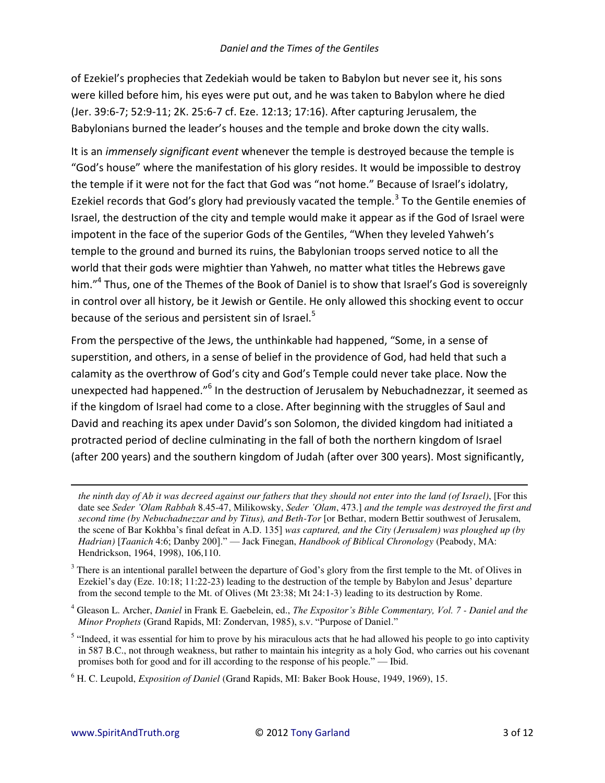of Ezekiel's prophecies that Zedekiah would be taken to Babylon but never see it, his sons were killed before him, his eyes were put out, and he was taken to Babylon where he died (Jer. 39:6-7; 52:9-11; 2K. 25:6-7 cf. Eze. 12:13; 17:16). After capturing Jerusalem, the Babylonians burned the leader's houses and the temple and broke down the city walls.

It is an *immensely significant event* whenever the temple is destroyed because the temple is "God's house" where the manifestation of his glory resides. It would be impossible to destroy the temple if it were not for the fact that God was "not home." Because of Israel's idolatry, Ezekiel records that God's glory had previously vacated the temple.<sup>3</sup> To the Gentile enemies of Israel, the destruction of the city and temple would make it appear as if the God of Israel were impotent in the face of the superior Gods of the Gentiles, "When they leveled Yahweh's temple to the ground and burned its ruins, the Babylonian troops served notice to all the world that their gods were mightier than Yahweh, no matter what titles the Hebrews gave him."<sup>4</sup> Thus, one of the Themes of the Book of Daniel is to show that Israel's God is sovereignly in control over all history, be it Jewish or Gentile. He only allowed this shocking event to occur because of the serious and persistent sin of Israel.<sup>5</sup>

From the perspective of the Jews, the unthinkable had happened, "Some, in a sense of superstition, and others, in a sense of belief in the providence of God, had held that such a calamity as the overthrow of God's city and God's Temple could never take place. Now the unexpected had happened."<sup>6</sup> In the destruction of Jerusalem by Nebuchadnezzar, it seemed as if the kingdom of Israel had come to a close. After beginning with the struggles of Saul and David and reaching its apex under David's son Solomon, the divided kingdom had initiated a protracted period of decline culminating in the fall of both the northern kingdom of Israel (after 200 years) and the southern kingdom of Judah (after over 300 years). Most significantly,

the ninth day of Ab it was decreed against our fathers that they should not enter into the land (of Israel), [For this date see Seder 'Olam Rabbah 8.45-47, Milikowsky, Seder 'Olam, 473.] and the temple was destroyed the first and second time (by Nebuchadnezzar and by Titus), and Beth-Tor [or Bethar, modern Bettir southwest of Jerusalem, the scene of Bar Kokhba's final defeat in A.D. 135] was captured, and the City (Jerusalem) was ploughed up (by Hadrian) [Taanich 4:6; Danby 200]." — Jack Finegan, Handbook of Biblical Chronology (Peabody, MA: Hendrickson, 1964, 1998), 106, 110.

 $3$  There is an intentional parallel between the departure of God's glory from the first temple to the Mt. of Olives in Ezekiel's day (Eze. 10:18; 11:22-23) leading to the destruction of the temple by Babylon and Jesus' departure from the second temple to the Mt. of Olives (Mt 23:38; Mt 24:1-3) leading to its destruction by Rome.

<sup>&</sup>lt;sup>4</sup> Gleason L. Archer, *Daniel* in Frank E. Gaebelein, ed., *The Expositor's Bible Commentary, Vol. 7 - Daniel and the* Minor Prophets (Grand Rapids, MI: Zondervan, 1985), s.v. "Purpose of Daniel."

<sup>&</sup>lt;sup>5</sup> "Indeed, it was essential for him to prove by his miraculous acts that he had allowed his people to go into captivity in 587 B.C., not through weakness, but rather to maintain his integrity as a holy God, who carries out his covenant promises both for good and for ill according to the response of his people." — Ibid.

 $6$  H. C. Leupold, *Exposition of Daniel* (Grand Rapids, MI: Baker Book House, 1949, 1969), 15.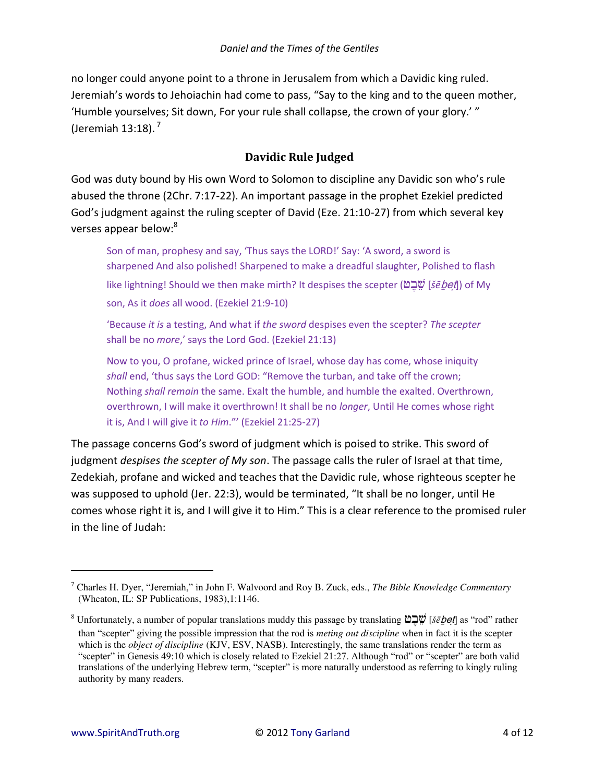no longer could anyone point to a throne in Jerusalem from which a Davidic king ruled. Jeremiah's words to Jehoiachin had come to pass, "Say to the king and to the queen mother, 'Humble yourselves; Sit down, For your rule shall collapse, the crown of your glory.'" (Jeremiah  $13:18$ ).<sup>7</sup>

### **Davidic Rule Judged**

God was duty bound by His own Word to Solomon to discipline any Davidic son who's rule abused the throne (2Chr. 7:17-22). An important passage in the prophet Ezekiel predicted God's judgment against the ruling scepter of David (Eze. 21:10-27) from which several key verses appear below:<sup>8</sup>

Son of man, prophesy and say, 'Thus says the LORD!' Say: 'A sword, a sword is sharpened And also polished! Sharpened to make a dreadful slaughter, Polished to flash like lightning! Should we then make mirth? It despises the scepter ( [*šē*<sup>b</sup> et ]) of My son, As it *does* all wood. (Ezekiel 21:9-10)

͚BeĐause *it is* a testing, And what if *the sword* despises even the scepter? *The scepter* shall be no *more*,' says the Lord God. (Ezekiel 21:13)

Now to you, O profane, wicked prince of Israel, whose day has come, whose iniquity shall end, 'thus says the Lord GOD: "Remove the turban, and take off the crown; Nothing *shall remain* the same. Exalt the humble, and humble the exalted. Overthrown, overthrown, I will make it overthrown! It shall be no *longer*, Until He comes whose right it is, And I will give it *to Him.*"' (Ezekiel 21:25-27)

The passage concerns God's sword of judgment which is poised to strike. This sword of judgment *despises the scepter of My son*. The passage calls the ruler of Israel at that time, Zedekiah, profane and wicked and teaches that the Davidic rule, whose righteous scepter he was supposed to uphold (Jer. 22:3), would be terminated, "It shall be no longer, until He comes whose right it is, and I will give it to Him.<sup>"</sup> This is a clear reference to the promised ruler in the line of Judah:

<sup>7</sup> Charles H. Dyer, ["Jeremiah,"](file:///c:/garland/users/tony/bible_teaching/commentaries/daniel/html/bibliography.html%2316315) in John F. Walvoord and Roy B. Zuck, eds., *[The Bible Knowledge Commentary](file:///c:/garland/users/tony/bible_teaching/commentaries/daniel/html/bibliography.html%2316267)* (Wheaton, IL: SP Publications, 1983),1:1146.

 $^8$  Unfortunately, a number of popular translations muddy this passage by translating  $\tilde{\omega}$  $\tilde{\omega}$  [*šēbet*] as "rod" rather than "scepter" giving the possible impression that the rod is *meting out discipline* when in fact it is the scepter which is the *object of discipline* (KJV, ESV, NASB). Interestingly, the same translations render the term as "scepter" in Genesis 49:10 which is closely related to Ezekiel 21:27. Although "rod" or "scepter" are both valid translations of the underlying Hebrew term, "scepter" is more naturally understood as referring to kingly ruling authority by many readers.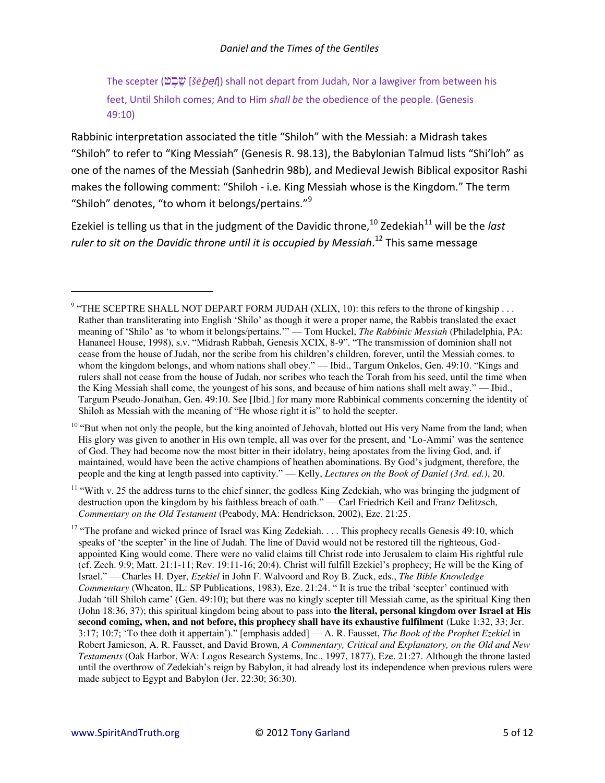The scepter (אֶבֶשׁ [šē bet]) shall not depart from Judah, Nor a lawgiver from between his feet, Until Shiloh comes; And to Him shall be the obedience of the people. (Genesis 49:10)

Rabbinic interpretation associated the title "Shiloh" with the Messiah: a Midrash takes "Shiloh" to refer to "King Messiah" (Genesis R. 98.13), the Babylonian Talmud lists "Shi'loh" as one of the names of the Messiah (Sanhedrin 98b), and Medieval Jewish Biblical expositor Rashi makes the following comment: "Shiloh - i.e. King Messiah whose is the Kingdom." The term "Shiloh" denotes, "to whom it belongs/pertains."<sup>9</sup>

Ezekiel is telling us that in the judgment of the Davidic throne,  $10^{10}$  Zedekiah $11$  will be the *last* ruler to sit on the Davidic throne until it is occupied by Messiah.<sup>12</sup> This same message

<sup>&</sup>lt;sup>9</sup> "THE SCEPTRE SHALL NOT DEPART FORM JUDAH (XLIX, 10): this refers to the throne of kingship ... Rather than transliterating into English 'Shilo' as though it were a proper name, the Rabbis translated the exact meaning of 'Shilo' as 'to whom it belongs/pertains."" — Tom Huckel, *The Rabbinic Messiah* (Philadelphia, PA: Hananeel House, 1998), s.v. "Midrash Rabbah, Genesis XCIX, 8-9". "The transmission of dominion shall not cease from the house of Judah, nor the scribe from his children's children, forever, until the Messiah comes, to whom the kingdom belongs, and whom nations shall obey." — Ibid., Targum Onkelos, Gen. 49:10. "Kings and rulers shall not cease from the house of Judah, nor scribes who teach the Torah from his seed, until the time when the King Messiah shall come, the youngest of his sons, and because of him nations shall melt away." — Ibid., Targum Pseudo-Jonathan, Gen. 49:10. See [Ibid.] for many more Rabbinical comments concerning the identity of Shiloh as Messiah with the meaning of "He whose right it is" to hold the scepter.

<sup>&</sup>lt;sup>10</sup> "But when not only the people, but the king anointed of Jehovah, blotted out His very Name from the land; when His glory was given to another in His own temple, all was over for the present, and 'Lo-Ammi' was the sentence of God. They had become now the most bitter in their idolatry, being apostates from the living God, and, if maintained, would have been the active champions of heathen abominations. By God's judgment, therefore, the people and the king at length passed into captivity." — Kelly, Lectures on the Book of Daniel (3rd. ed.), 20.

<sup>&</sup>lt;sup>11</sup> "With v. 25 the address turns to the chief sinner, the godless King Zedekiah, who was bringing the judgment of destruction upon the kingdom by his faithless breach of oath." — Carl Friedrich Keil and Franz Delitzsch, Commentary on the Old Testament (Peabody, MA: Hendrickson, 2002), Eze. 21:25.

<sup>&</sup>lt;sup>12</sup> "The profane and wicked prince of Israel was King Zedekiah. . . . This prophecy recalls Genesis 49:10, which speaks of 'the scepter' in the line of Judah. The line of David would not be restored till the righteous, Godappointed King would come. There were no valid claims till Christ rode into Jerusalem to claim His rightful rule (cf. Zech. 9:9; Matt. 21:1-11; Rev. 19:11-16; 20:4). Christ will fulfill Ezekiel's prophecy; He will be the King of Israel." — Charles H. Dyer, Ezekiel in John F. Walvoord and Roy B. Zuck, eds., The Bible Knowledge Commentary (Wheaton, IL: SP Publications, 1983), Eze. 21:24. "It is true the tribal 'scepter' continued with Judah 'till Shiloh came' (Gen. 49:10); but there was no kingly scepter till Messiah came, as the spiritual King then (John 18:36, 37); this spiritual kingdom being about to pass into the literal, personal kingdom over Israel at His second coming, when, and not before, this prophecy shall have its exhaustive fulfilment (Luke 1:32, 33; Jer. 3:17; 10:7; 'To thee doth it appertain')." [emphasis added] — A. R. Fausset, The Book of the Prophet Ezekiel in Robert Jamieson, A. R. Fausset, and David Brown, A Commentary, Critical and Explanatory, on the Old and New Testaments (Oak Harbor, WA: Logos Research Systems, Inc., 1997, 1877), Eze. 21:27. Although the throne lasted until the overthrow of Zedekiah's reign by Babylon, it had already lost its independence when previous rulers were made subject to Egypt and Babylon (Jer. 22:30; 36:30).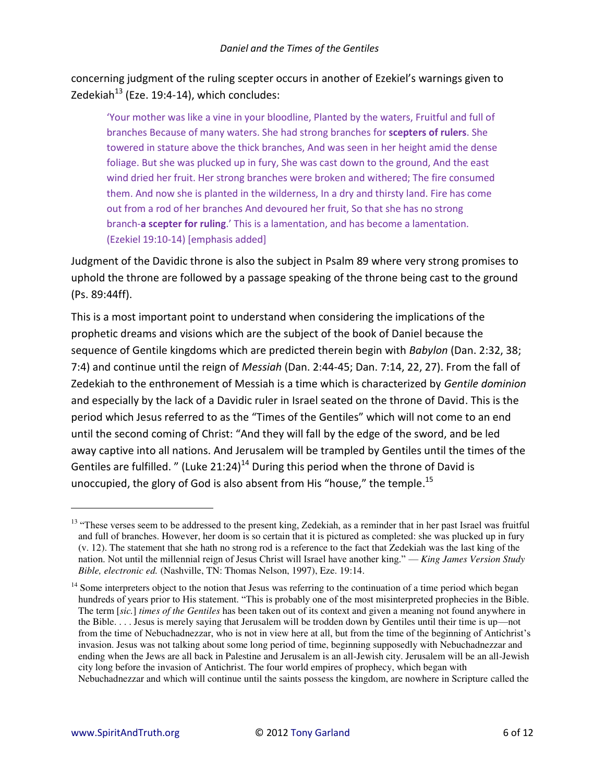concerning judgment of the ruling scepter occurs in another of Ezekiel's warnings given to Zedekiah $^{13}$  (Eze. 19:4-14), which concludes:

'Your mother was like a vine in your bloodline, Planted by the waters, Fruitful and full of branches Because of many waters. She had strong branches for **scepters of rulers**. She towered in stature above the thick branches, And was seen in her height amid the dense foliage. But she was plucked up in fury, She was cast down to the ground, And the east wind dried her fruit. Her strong branches were broken and withered; The fire consumed them. And now she is planted in the wilderness, In a dry and thirsty land. Fire has come out from a rod of her branches And devoured her fruit, So that she has no strong branch-a scepter for ruling.<sup>'</sup> This is a lamentation, and has become a lamentation. (Ezekiel 19:10-14) [emphasis added]

Judgment of the Davidic throne is also the subject in Psalm 89 where very strong promises to uphold the throne are followed by a passage speaking of the throne being cast to the ground (Ps. 89:44ff).

This is a most important point to understand when considering the implications of the prophetic dreams and visions which are the subject of the book of Daniel because the sequence of Gentile kingdoms which are predicted therein begin with *Babylon* (Dan. 2:32, 38; 7:4) and continue until the reign of *Messiah* (Dan. 2:44-45; Dan. 7:14, 22, 27). From the fall of Zedekiah to the enthronement of Messiah is a time which is characterized by *Gentile dominion* and especially by the lack of a Davidic ruler in Israel seated on the throne of David. This is the period which Jesus referred to as the "Times of the Gentiles" which will not come to an end until the second coming of Christ: "And they will fall by the edge of the sword, and be led away captive into all nations. And Jerusalem will be trampled by Gentiles until the times of the Gentiles are fulfilled. " (Luke  $21:24$ )<sup>14</sup> During this period when the throne of David is unoccupied, the glory of God is also absent from His "house," the temple.<sup>15</sup>

<sup>&</sup>lt;sup>13</sup> "These verses seem to be addressed to the present king, Zedekiah, as a reminder that in her past Israel was fruitful and full of branches. However, her doom is so certain that it is pictured as completed: she was plucked up in fury (v. 12). The statement that she hath no strong rod is a reference to the fact that Zedekiah was the last king of the nation. Not until the millennial reign of Jesus Christ will Israel have another king." — *King James Version Study Bible, electronic ed.* (Nashville, TN: Thomas Nelson, 1997), Eze. 19:14.

 $14$  Some interpreters object to the notion that Jesus was referring to the continuation of a time period which began hundreds of years prior to His statement. "This is probably one of the most misinterpreted prophecies in the Bible. The term [*sic.*] *times of the Gentiles* has been taken out of its context and given a meaning not found anywhere in the Bible. . . . Jesus is merely saying that Jerusalem will be trodden down by Gentiles until their time is up—not from the time of Nebuchadnezzar, who is not in view here at all, but from the time of the beginning of Antichrist's invasion. Jesus was not talking about some long period of time, beginning supposedly with Nebuchadnezzar and ending when the Jews are all back in Palestine and Jerusalem is an all-Jewish city. Jerusalem will be an all-Jewish city long before the invasion of Antichrist. The four world empires of prophecy, which began with Nebuchadnezzar and which will continue until the saints possess the kingdom, are nowhere in Scripture called the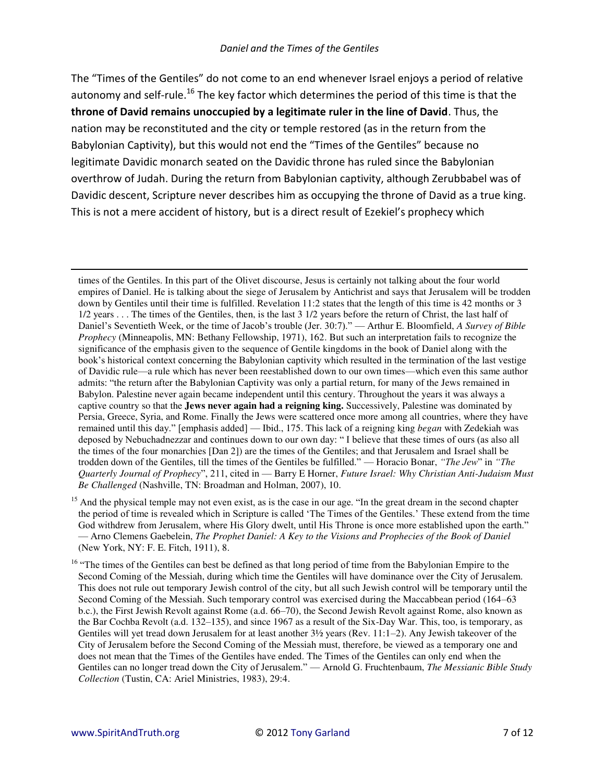#### Daniel and the Times of the Gentiles

The "Times of the Gentiles" do not come to an end whenever Israel enjoys a period of relative autonomy and self-rule.<sup>16</sup> The key factor which determines the period of this time is that the throne of David remains unoccupied by a legitimate ruler in the line of David. Thus, the nation may be reconstituted and the city or temple restored (as in the return from the Babylonian Captivity), but this would not end the "Times of the Gentiles" because no legitimate Davidic monarch seated on the Davidic throne has ruled since the Babylonian overthrow of Judah. During the return from Babylonian captivity, although Zerubbabel was of Davidic descent, Scripture never describes him as occupying the throne of David as a true king. This is not a mere accident of history, but is a direct result of Ezekiel's prophecy which

times of the Gentiles. In this part of the Olivet discourse, Jesus is certainly not talking about the four world empires of Daniel. He is talking about the siege of Jerusalem by Antichrist and says that Jerusalem will be trodden down by Gentiles until their time is fulfilled. Revelation 11:2 states that the length of this time is 42 months or 3 1/2 years . . . The times of the Gentiles, then, is the last 3 1/2 years before the return of Christ, the last half of Daniel's Seventieth Week, or the time of Jacob's trouble (Jer. 30:7)." — Arthur E. Bloomfield, A Survey of Bible Prophecy (Minneapolis, MN: Bethany Fellowship, 1971), 162. But such an interpretation fails to recognize the significance of the emphasis given to the sequence of Gentile kingdoms in the book of Daniel along with the book's historical context concerning the Babylonian captivity which resulted in the termination of the last vestige of Davidic rule—a rule which has never been reestablished down to our own times—which even this same author admits: "the return after the Babylonian Captivity was only a partial return, for many of the Jews remained in Babylon. Palestine never again became independent until this century. Throughout the years it was always a captive country so that the **Jews never again had a reigning king.** Successively, Palestine was dominated by Persia, Greece, Syria, and Rome. Finally the Jews were scattered once more among all countries, where they have remained until this day." [emphasis added] — Ibid., 175. This lack of a reigning king began with Zedekiah was deposed by Nebuchadnezzar and continues down to our own day: "I believe that these times of ours (as also all the times of the four monarchies [Dan 2]) are the times of the Gentiles; and that Jerusalem and Israel shall be trodden down of the Gentiles, till the times of the Gentiles be fulfilled." — Horacio Bonar, "The Jew" in "The Quarterly Journal of Prophecy", 211, cited in — Barry E Horner, Future Israel: Why Christian Anti-Judaism Must Be Challenged (Nashville, TN: Broadman and Holman, 2007), 10.

<sup>&</sup>lt;sup>15</sup> And the physical temple may not even exist, as is the case in our age. "In the great dream in the second chapter the period of time is revealed which in Scripture is called 'The Times of the Gentiles.' These extend from the time God withdrew from Jerusalem, where His Glory dwelt, until His Throne is once more established upon the earth." - Arno Clemens Gaebelein, The Prophet Daniel: A Key to the Visions and Prophecies of the Book of Daniel (New York, NY: F. E. Fitch, 1911), 8.

<sup>&</sup>lt;sup>16</sup> "The times of the Gentiles can best be defined as that long period of time from the Babylonian Empire to the Second Coming of the Messiah, during which time the Gentiles will have dominance over the City of Jerusalem. This does not rule out temporary Jewish control of the city, but all such Jewish control will be temporary until the Second Coming of the Messiah. Such temporary control was exercised during the Maccabbean period (164–63) b.c.), the First Jewish Revolt against Rome (a.d. 66–70), the Second Jewish Revolt against Rome, also known as the Bar Cochba Revolt (a.d. 132–135), and since 1967 as a result of the Six-Day War. This, too, is temporary, as Gentiles will yet tread down Jerusalem for at least another 3½ years (Rev. 11:1–2). Any Jewish takeover of the City of Jerusalem before the Second Coming of the Messiah must, therefore, be viewed as a temporary one and does not mean that the Times of the Gentiles have ended. The Times of the Gentiles can only end when the Gentiles can no longer tread down the City of Jerusalem." — Arnold G. Fruchtenbaum, The Messianic Bible Study Collection (Tustin, CA: Ariel Ministries, 1983), 29:4.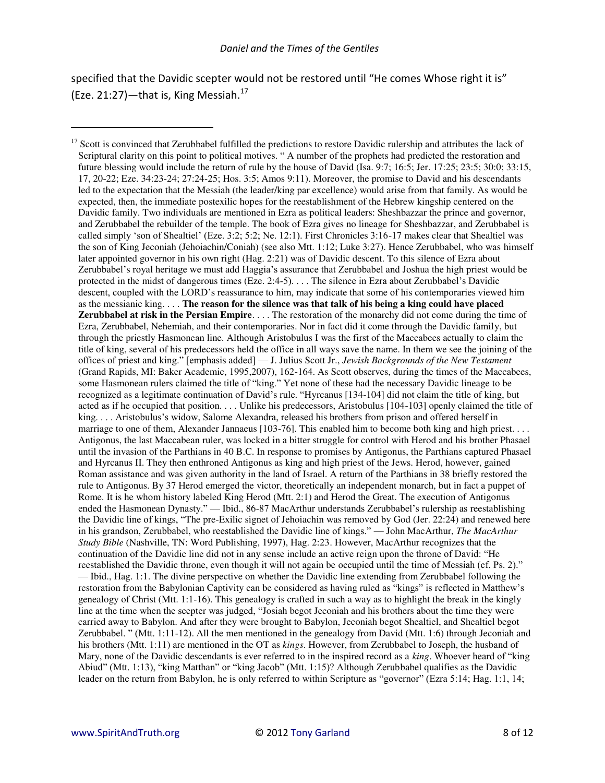specified that the Davidic scepter would not be restored until "He comes Whose right it is" (Eze. 21:27)-that is, King Messiah.<sup>17</sup>

<sup>&</sup>lt;sup>17</sup> Scott is convinced that Zerubbabel fulfilled the predictions to restore Davidic rulership and attributes the lack of Scriptural clarity on this point to political motives. " A number of the prophets had predicted the restoration and future blessing would include the return of rule by the house of David (Isa.  $9:7$ ;  $16:5$ ; Jer.  $17:25$ ;  $23:5$ ;  $30:0$ ;  $33:15$ , 17, 20-22; Eze. 34:23-24; 27:24-25; Hos. 3:5; Amos 9:11). Moreover, the promise to David and his descendants led to the expectation that the Messiah (the leader/king par excellence) would arise from that family. As would be expected, then, the immediate postexilic hopes for the reestablishment of the Hebrew kingship centered on the Davidic family. Two individuals are mentioned in Ezra as political leaders: Sheshbazzar the prince and governor, and Zerubbabel the rebuilder of the temple. The book of Ezra gives no lineage for Sheshbazzar, and Zerubbabel is called simply 'son of Shealtiel' (Eze. 3:2; 5:2; Ne. 12:1). First Chronicles 3:16-17 makes clear that Shealtiel was the son of King Jeconiah (Jehoiachin/Coniah) (see also Mtt. 1:12; Luke 3:27). Hence Zerubbabel, who was himself later appointed governor in his own right (Hag. 2:21) was of Davidic descent. To this silence of Ezra about Zerubbabel's royal heritage we must add Haggia's assurance that Zerubbabel and Joshua the high priest would be protected in the midst of dangerous times (Eze. 2:4-5). . . . The silence in Ezra about Zerubbabel's Davidic descent, coupled with the LORD's reassurance to him, may indicate that some of his contemporaries viewed him as the messianic king. . . . **The reason for the silence was that talk of his being a king could have placed Zerubbabel at risk in the Persian Empire**. . . . The restoration of the monarchy did not come during the time of Ezra, Zerubbabel, Nehemiah, and their contemporaries. Nor in fact did it come through the Davidic family, but through the priestly Hasmonean line. Although Aristobulus I was the first of the Maccabees actually to claim the title of king, several of his predecessors held the office in all ways save the name. In them we see the joining of the offices of priest and king." [emphasis added] — J. Julius Scott Jr., *Jewish Backgrounds of the New Testament* (Grand Rapids, MI: Baker Academic, 1995,2007), 162-164. As Scott observes, during the times of the Maccabees, some Hasmonean rulers claimed the title of "king." Yet none of these had the necessary Davidic lineage to be recognized as a legitimate continuation of David's rule. "Hyrcanus [134-104] did not claim the title of king, but acted as if he occupied that position. . . . Unlike his predecessors, Aristobulus [104-103] openly claimed the title of king. . . . Aristobulus's widow, Salome Alexandra, released his brothers from prison and offered herself in marriage to one of them, Alexander Jannaeus [103-76]. This enabled him to become both king and high priest. . . . Antigonus, the last Maccabean ruler, was locked in a bitter struggle for control with Herod and his brother Phasael until the invasion of the Parthians in 40 B.C. In response to promises by Antigonus, the Parthians captured Phasael and Hyrcanus II. They then enthroned Antigonus as king and high priest of the Jews. Herod, however, gained Roman assistance and was given authority in the land of Israel. A return of the Parthians in 38 briefly restored the rule to Antigonus. By 37 Herod emerged the victor, theoretically an independent monarch, but in fact a puppet of Rome. It is he whom history labeled King Herod (Mtt. 2:1) and Herod the Great. The execution of Antigonus ended the Hasmonean Dynasty." — Ibid., 86-87 MacArthur understands Zerubbabel's rulership as reestablishing the Davidic line of kings, "The pre-Exilic signet of Jehoiachin was removed by God (Jer. 22:24) and renewed here in his grandson, Zerubbabel, who reestablished the Davidic line of kings." — John MacArthur, *The MacArthur Study Bible* (Nashville, TN: Word Publishing, 1997), Hag. 2:23. However, MacArthur recognizes that the continuation of the Davidic line did not in any sense include an active reign upon the throne of David: "He reestablished the Davidic throne, even though it will not again be occupied until the time of Messiah (cf. Ps. 2)." — Ibid., Hag. 1:1. The divine perspective on whether the Davidic line extending from Zerubbabel following the restoration from the Babylonian Captivity can be considered as having ruled as "kings" is reflected in Matthew's genealogy of Christ (Mtt. 1:1-16). This genealogy is crafted in such a way as to highlight the break in the kingly line at the time when the scepter was judged, "Josiah begot Jeconiah and his brothers about the time they were carried away to Babylon. And after they were brought to Babylon, Jeconiah begot Shealtiel, and Shealtiel begot Zerubbabel. " (Mtt. 1:11-12). All the men mentioned in the genealogy from David (Mtt. 1:6) through Jeconiah and his brothers (Mtt. 1:11) are mentioned in the OT as *kings*. However, from Zerubbabel to Joseph, the husband of Mary, none of the Davidic descendants is ever referred to in the inspired record as a *king*. Whoever heard of "king Abiud" (Mtt. 1:13), "king Matthan" or "king Jacob" (Mtt. 1:15)? Although Zerubbabel qualifies as the Davidic leader on the return from Babylon, he is only referred to within Scripture as "governor" (Ezra 5:14; Hag. 1:1, 14;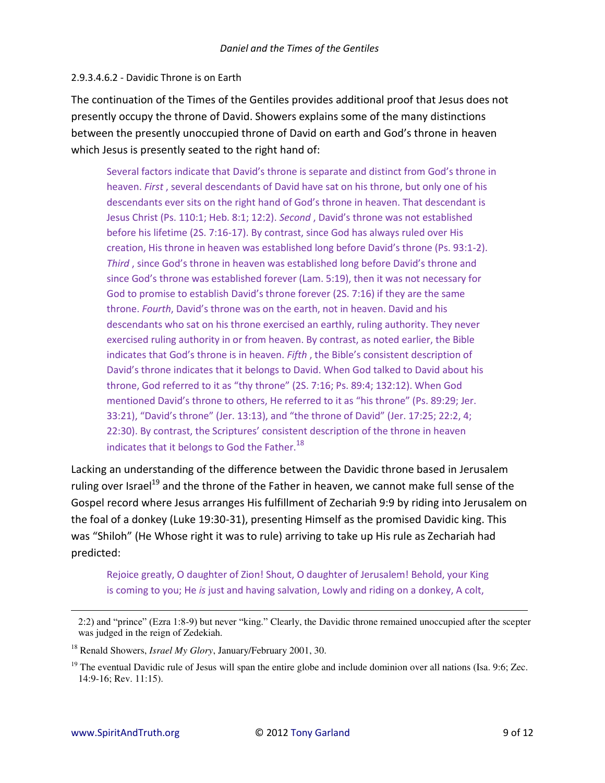#### 2.9.3.4.6.2 - Davidic Throne is on Earth

The continuation of the Times of the Gentiles provides additional proof that Jesus does not presently occupy the throne of David. Showers explains some of the many distinctions between the presently unoccupied throne of David on earth and God's throne in heaven which Jesus is presently seated to the right hand of:

Several factors indicate that David's throne is separate and distinct from God's throne in heaven. First, several descendants of David have sat on his throne, but only one of his descendants ever sits on the right hand of God's throne in heaven. That descendant is Jesus Christ (Ps. 110:1; Heb. 8:1; 12:2). Second, David's throne was not established before his lifetime (2S. 7:16-17). By contrast, since God has always ruled over His creation, His throne in heaven was established long before David's throne (Ps. 93:1-2). Third, since God's throne in heaven was established long before David's throne and since God's throne was established forever (Lam. 5:19), then it was not necessary for God to promise to establish David's throne forever (2S. 7:16) if they are the same throne. Fourth, David's throne was on the earth, not in heaven. David and his descendants who sat on his throne exercised an earthly, ruling authority. They never exercised ruling authority in or from heaven. By contrast, as noted earlier, the Bible indicates that God's throne is in heaven. Fifth, the Bible's consistent description of David's throne indicates that it belongs to David. When God talked to David about his throne, God referred to it as "thy throne" (2S. 7:16; Ps. 89:4; 132:12). When God mentioned David's throne to others, He referred to it as "his throne" (Ps. 89:29; Jer. 33:21), "David's throne" (Jer. 13:13), and "the throne of David" (Jer. 17:25; 22:2, 4; 22:30). By contrast, the Scriptures' consistent description of the throne in heaven indicates that it belongs to God the Father.<sup>18</sup>

Lacking an understanding of the difference between the Davidic throne based in Jerusalem ruling over Israel<sup>19</sup> and the throne of the Father in heaven, we cannot make full sense of the Gospel record where Jesus arranges His fulfillment of Zechariah 9:9 by riding into Jerusalem on the foal of a donkey (Luke 19:30-31), presenting Himself as the promised Davidic king. This was "Shiloh" (He Whose right it was to rule) arriving to take up His rule as Zechariah had predicted:

Rejoice greatly, O daughter of Zion! Shout, O daughter of Jerusalem! Behold, your King is coming to you; He is just and having salvation, Lowly and riding on a donkey, A colt,

<sup>2:2)</sup> and "prince" (Ezra 1:8-9) but never "king," Clearly, the Davidic throne remained unoccupied after the scepter was judged in the reign of Zedekiah.

<sup>&</sup>lt;sup>18</sup> Renald Showers, *Israel My Glory*, January/February 2001, 30.

<sup>&</sup>lt;sup>19</sup> The eventual Davidic rule of Jesus will span the entire globe and include dominion over all nations (Isa. 9:6; Zec. 14:9-16: Rev. 11:15).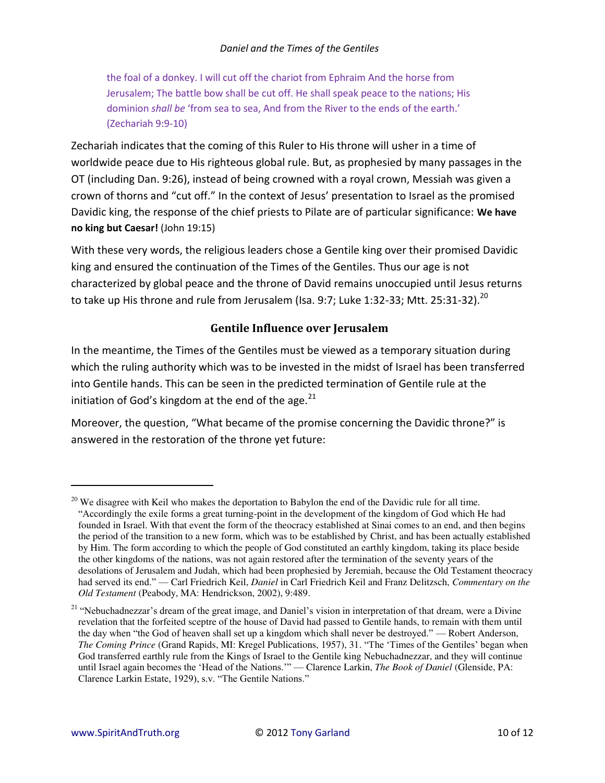the foal of a donkey. I will cut off the chariot from Ephraim And the horse from Jerusalem; The battle bow shall be cut off. He shall speak peace to the nations; His dominion *shall be* 'from sea to sea, And from the River to the ends of the earth.' (Zechariah 9:9-10)

Zechariah indicates that the coming of this Ruler to His throne will usher in a time of worldwide peace due to His righteous global rule. But, as prophesied by many passages in the OT (including Dan. 9:26), instead of being crowned with a royal crown, Messiah was given a crown of thorns and "cut off." In the context of Jesus' presentation to Israel as the promised Davidic king, the response of the chief priests to Pilate are of particular significance: **We have no king but Caesar!** (John 19:15)

With these very words, the religious leaders chose a Gentile king over their promised Davidic king and ensured the continuation of the Times of the Gentiles. Thus our age is not characterized by global peace and the throne of David remains unoccupied until Jesus returns to take up His throne and rule from Jerusalem (Isa. 9:7; Luke 1:32-33; Mtt. 25:31-32).<sup>20</sup>

# **Gentile Influence over Jerusalem**

In the meantime, the Times of the Gentiles must be viewed as a temporary situation during which the ruling authority which was to be invested in the midst of Israel has been transferred into Gentile hands. This can be seen in the predicted termination of Gentile rule at the initiation of God's kingdom at the end of the age.<sup>21</sup>

Moreover, the question, "What became of the promise concerning the Davidic throne?" is answered in the restoration of the throne yet future:

 $\overline{a}$ 

<sup>&</sup>lt;sup>20</sup> We disagree with Keil who makes the deportation to Babylon the end of the Davidic rule for all time. "Accordingly the exile forms a great turning-point in the development of the kingdom of God which He had founded in Israel. With that event the form of the theocracy established at Sinai comes to an end, and then begins the period of the transition to a new form, which was to be established by Christ, and has been actually established by Him. The form according to which the people of God constituted an earthly kingdom, taking its place beside the other kingdoms of the nations, was not again restored after the termination of the seventy years of the desolations of Jerusalem and Judah, which had been prophesied by Jeremiah, because the Old Testament theocracy had served its end." — Carl Friedrich Keil, *Daniel* in Carl Friedrich Keil and Franz Delitzsch, *Commentary on the Old Testament* (Peabody, MA: Hendrickson, 2002), 9:489.

<sup>&</sup>lt;sup>21</sup> "Nebuchadnezzar's dream of the great image, and Daniel's vision in interpretation of that dream, were a Divine revelation that the forfeited sceptre of the house of David had passed to Gentile hands, to remain with them until the day when "the God of heaven shall set up a kingdom which shall never be destroyed." — Robert Anderson, *The Coming Prince* (Grand Rapids, MI: Kregel Publications, 1957), 31. "The 'Times of the Gentiles' began when God transferred earthly rule from the Kings of Israel to the Gentile king Nebuchadnezzar, and they will continue until Israel again becomes the 'Head of the Nations.'" — Clarence Larkin, *The Book of Daniel* (Glenside, PA: Clarence Larkin Estate, 1929), s.v. "The Gentile Nations."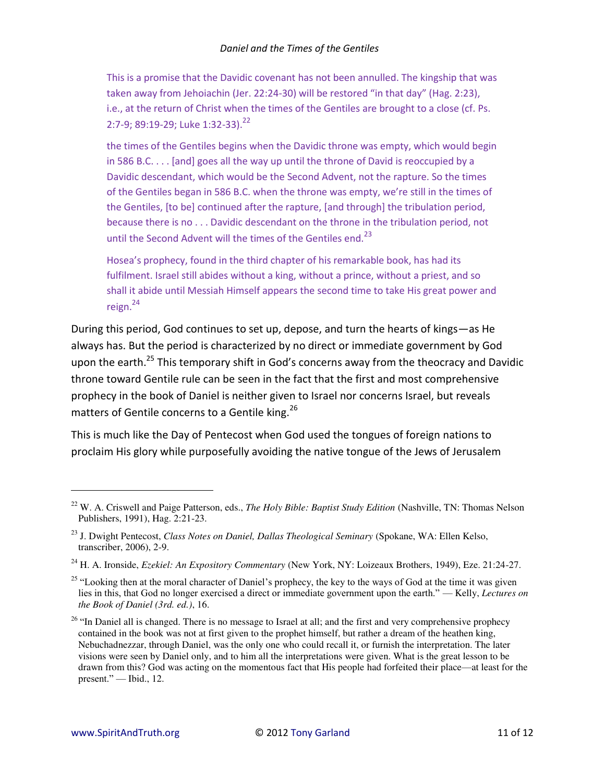This is a promise that the Davidic covenant has not been annulled. The kingship that was taken away from Jehoiachin (Jer. 22:24-30) will be restored "in that day" (Hag. 2:23), i.e., at the return of Christ when the times of the Gentiles are brought to a close (cf. Ps. 2:7-9; 89:19-29; Luke 1:32-33).<sup>22</sup>

the times of the Gentiles begins when the Davidic throne was empty, which would begin in 586 B.C. . . . [and] goes all the way up until the throne of David is reoccupied by a Davidic descendant, which would be the Second Advent, not the rapture. So the times of the Gentiles began in 586 B.C. when the throne was empty, we're still in the times of the Gentiles, [to be] continued after the rapture, [and through] the tribulation period, because there is no . . . Davidic descendant on the throne in the tribulation period, not until the Second Advent will the times of the Gentiles end.<sup>23</sup>

Hosea's prophecy, found in the third chapter of his remarkable book, has had its fulfilment. Israel still abides without a king, without a prince, without a priest, and so shall it abide until Messiah Himself appears the second time to take His great power and reign.<sup>24</sup>

During this period, God continues to set up, depose, and turn the hearts of kings—as He always has. But the period is characterized by no direct or immediate government by God upon the earth.<sup>25</sup> This temporary shift in God's concerns away from the theocracy and Davidic throne toward Gentile rule can be seen in the fact that the first and most comprehensive prophecy in the book of Daniel is neither given to Israel nor concerns Israel, but reveals matters of Gentile concerns to a Gentile king.<sup>26</sup>

This is much like the Day of Pentecost when God used the tongues of foreign nations to proclaim His glory while purposefully avoiding the native tongue of the Jews of Jerusalem

<sup>22</sup> W. A. Criswell and Paige Patterson, eds., *The Holy Bible: Baptist Study Edition* (Nashville, TN: Thomas Nelson Publishers, 1991), Hag. 2:21-23.

<sup>23</sup> J. Dwight Pentecost, *Class Notes on Daniel, Dallas Theological Seminary* (Spokane, WA: Ellen Kelso, transcriber, 2006), 2-9.

<sup>24</sup> H. A. Ironside, *Ezekiel: An Expository Commentary* (New York, NY: Loizeaux Brothers, 1949), Eze. 21:24-27.

<sup>&</sup>lt;sup>25</sup> "Looking then at the moral character of Daniel's prophecy, the key to the ways of God at the time it was given lies in this, that God no longer exercised a direct or immediate government upon the earth." — Kelly, *Lectures on the Book of Daniel (3rd. ed.)*, 16.

 $26$  "In Daniel all is changed. There is no message to Israel at all; and the first and very comprehensive prophecy contained in the book was not at first given to the prophet himself, but rather a dream of the heathen king, Nebuchadnezzar, through Daniel, was the only one who could recall it, or furnish the interpretation. The later visions were seen by Daniel only, and to him all the interpretations were given. What is the great lesson to be drawn from this? God was acting on the momentous fact that His people had forfeited their place—at least for the present." — Ibid., 12.